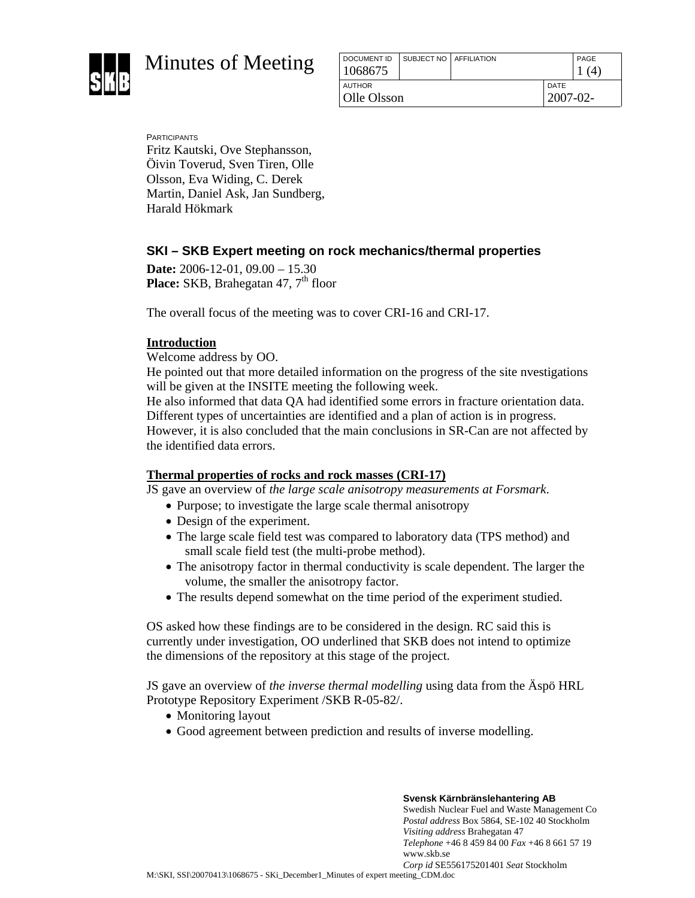

Minutes of Meeting

| DOCUMENT ID   | SUBJECT NO AFFILIATION |  |               | PAGE |
|---------------|------------------------|--|---------------|------|
| 1068675       |                        |  |               |      |
| <b>AUTHOR</b> |                        |  | <b>DATE</b>   |      |
| Olle Olsson   |                        |  | $2007 - 02 -$ |      |
|               |                        |  |               |      |

PARTICIPANTS Fritz Kautski, Ove Stephansson, Öivin Toverud, Sven Tiren, Olle Olsson, Eva Widing, C. Derek Martin, Daniel Ask, Jan Sundberg, Harald Hökmark

# **SKI – SKB Expert meeting on rock mechanics/thermal properties**

**Date:** 2006-12-01, 09.00 – 15.30 **Place:** SKB, Brahegatan 47, 7<sup>th</sup> floor

The overall focus of the meeting was to cover CRI-16 and CRI-17.

## **Introduction**

Welcome address by OO.

He pointed out that more detailed information on the progress of the site nvestigations will be given at the INSITE meeting the following week.

He also informed that data QA had identified some errors in fracture orientation data. Different types of uncertainties are identified and a plan of action is in progress. However, it is also concluded that the main conclusions in SR-Can are not affected by the identified data errors.

## **Thermal properties of rocks and rock masses (CRI-17)**

JS gave an overview of *the large scale anisotropy measurements at Forsmark*.

- Purpose; to investigate the large scale thermal anisotropy
- Design of the experiment.
- The large scale field test was compared to laboratory data (TPS method) and small scale field test (the multi-probe method).
- The anisotropy factor in thermal conductivity is scale dependent. The larger the volume, the smaller the anisotropy factor.
- The results depend somewhat on the time period of the experiment studied.

OS asked how these findings are to be considered in the design. RC said this is currently under investigation, OO underlined that SKB does not intend to optimize the dimensions of the repository at this stage of the project.

JS gave an overview of *the inverse thermal modelling* using data from the Äspö HRL Prototype Repository Experiment /SKB R-05-82/.

- Monitoring layout
- Good agreement between prediction and results of inverse modelling.

**Svensk Kärnbränslehantering AB**  Swedish Nuclear Fuel and Waste Management Co *Postal address* Box 5864, SE-102 40 Stockholm *Visiting address* Brahegatan 47 *Telephone* +46 8 459 84 00 *Fax* +46 8 661 57 19 www.skb.se *Corp id* SE556175201401 *Seat* Stockholm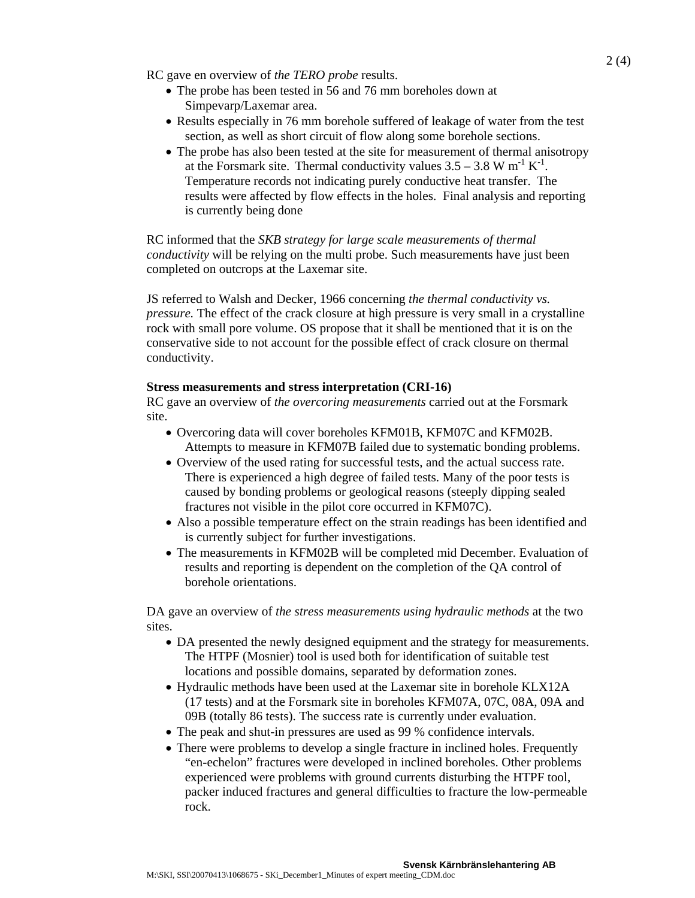RC gave en overview of *the TERO probe* results.

- The probe has been tested in 56 and 76 mm boreholes down at Simpevarp/Laxemar area.
- Results especially in 76 mm borehole suffered of leakage of water from the test section, as well as short circuit of flow along some borehole sections.
- The probe has also been tested at the site for measurement of thermal anisotropy at the Forsmark site. Thermal conductivity values  $3.5 - 3.8$  W m<sup>-1</sup> K<sup>-1</sup>. Temperature records not indicating purely conductive heat transfer. The results were affected by flow effects in the holes. Final analysis and reporting is currently being done

RC informed that the *SKB strategy for large scale measurements of thermal conductivity* will be relying on the multi probe. Such measurements have just been completed on outcrops at the Laxemar site.

JS referred to Walsh and Decker, 1966 concerning *the thermal conductivity vs. pressure.* The effect of the crack closure at high pressure is very small in a crystalline rock with small pore volume. OS propose that it shall be mentioned that it is on the conservative side to not account for the possible effect of crack closure on thermal conductivity.

## **Stress measurements and stress interpretation (CRI-16)**

RC gave an overview of *the overcoring measurements* carried out at the Forsmark site.

- Overcoring data will cover boreholes KFM01B, KFM07C and KFM02B. Attempts to measure in KFM07B failed due to systematic bonding problems.
- Overview of the used rating for successful tests, and the actual success rate. There is experienced a high degree of failed tests. Many of the poor tests is caused by bonding problems or geological reasons (steeply dipping sealed fractures not visible in the pilot core occurred in KFM07C).
- Also a possible temperature effect on the strain readings has been identified and is currently subject for further investigations.
- The measurements in KFM02B will be completed mid December. Evaluation of results and reporting is dependent on the completion of the QA control of borehole orientations.

DA gave an overview of *the stress measurements using hydraulic methods* at the two sites.

- DA presented the newly designed equipment and the strategy for measurements. The HTPF (Mosnier) tool is used both for identification of suitable test locations and possible domains, separated by deformation zones.
- Hydraulic methods have been used at the Laxemar site in borehole KLX12A (17 tests) and at the Forsmark site in boreholes KFM07A, 07C, 08A, 09A and 09B (totally 86 tests). The success rate is currently under evaluation.
- The peak and shut-in pressures are used as 99 % confidence intervals.
- There were problems to develop a single fracture in inclined holes. Frequently "en-echelon" fractures were developed in inclined boreholes. Other problems experienced were problems with ground currents disturbing the HTPF tool, packer induced fractures and general difficulties to fracture the low-permeable rock.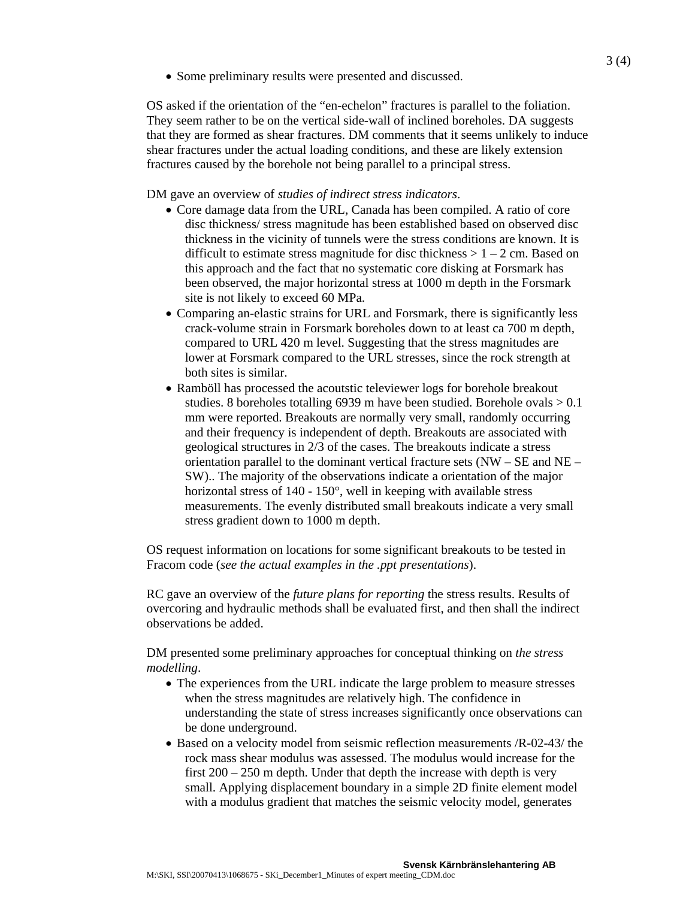• Some preliminary results were presented and discussed.

OS asked if the orientation of the "en-echelon" fractures is parallel to the foliation. They seem rather to be on the vertical side-wall of inclined boreholes. DA suggests that they are formed as shear fractures. DM comments that it seems unlikely to induce shear fractures under the actual loading conditions, and these are likely extension fractures caused by the borehole not being parallel to a principal stress.

#### DM gave an overview of *studies of indirect stress indicators*.

- Core damage data from the URL, Canada has been compiled. A ratio of core disc thickness/ stress magnitude has been established based on observed disc thickness in the vicinity of tunnels were the stress conditions are known. It is difficult to estimate stress magnitude for disc thickness  $> 1 - 2$  cm. Based on this approach and the fact that no systematic core disking at Forsmark has been observed, the major horizontal stress at 1000 m depth in the Forsmark site is not likely to exceed 60 MPa.
- Comparing an-elastic strains for URL and Forsmark, there is significantly less crack-volume strain in Forsmark boreholes down to at least ca 700 m depth, compared to URL 420 m level. Suggesting that the stress magnitudes are lower at Forsmark compared to the URL stresses, since the rock strength at both sites is similar.
- Ramböll has processed the acoutstic televiewer logs for borehole breakout studies. 8 boreholes totalling 6939 m have been studied. Borehole ovals  $> 0.1$ mm were reported. Breakouts are normally very small, randomly occurring and their frequency is independent of depth. Breakouts are associated with geological structures in 2/3 of the cases. The breakouts indicate a stress orientation parallel to the dominant vertical fracture sets (NW – SE and NE – SW).. The majority of the observations indicate a orientation of the major horizontal stress of 140 - 150°, well in keeping with available stress measurements. The evenly distributed small breakouts indicate a very small stress gradient down to 1000 m depth.

OS request information on locations for some significant breakouts to be tested in Fracom code (*see the actual examples in the .ppt presentations*).

RC gave an overview of the *future plans for reporting* the stress results. Results of overcoring and hydraulic methods shall be evaluated first, and then shall the indirect observations be added.

DM presented some preliminary approaches for conceptual thinking on *the stress modelling*.

- The experiences from the URL indicate the large problem to measure stresses when the stress magnitudes are relatively high. The confidence in understanding the state of stress increases significantly once observations can be done underground.
- Based on a velocity model from seismic reflection measurements /R-02-43/ the rock mass shear modulus was assessed. The modulus would increase for the first 200 – 250 m depth. Under that depth the increase with depth is very small. Applying displacement boundary in a simple 2D finite element model with a modulus gradient that matches the seismic velocity model, generates